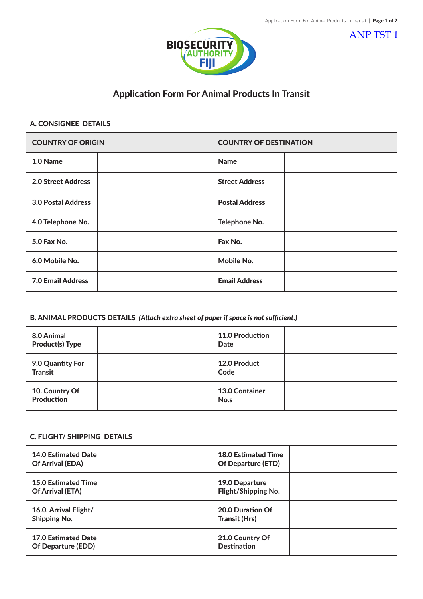ANP TST 1



# Application Form For Animal Products In Transit

## A. CONSIGNEE DETAILS

| <b>COUNTRY OF ORIGIN</b>  | <b>COUNTRY OF DESTINATION</b> |
|---------------------------|-------------------------------|
| 1.0 Name                  | <b>Name</b>                   |
| 2.0 Street Address        | <b>Street Address</b>         |
| <b>3.0 Postal Address</b> | <b>Postal Address</b>         |
| 4.0 Telephone No.         | Telephone No.                 |
| 5.0 Fax No.               | Fax No.                       |
| 6.0 Mobile No.            | Mobile No.                    |
| <b>7.0 Email Address</b>  | <b>Email Address</b>          |

#### B. ANIMAL PRODUCTS DETAILS *(Attach extra sheet of paper if space is not sufficient.)*

| 8.0 Animal<br><b>Product(s) Type</b> | <b>11.0 Production</b><br><b>Date</b> |  |
|--------------------------------------|---------------------------------------|--|
| 9.0 Quantity For<br><b>Transit</b>   | 12.0 Product<br>Code                  |  |
| 10. Country Of<br><b>Production</b>  | <b>13.0 Container</b><br>No.s         |  |

# C. FLIGHT/ SHIPPING DETAILS

| <b>14.0 Estimated Date</b><br><b>Of Arrival (EDA)</b>   | <b>18.0 Estimated Time</b><br><b>Of Departure (ETD)</b> |  |
|---------------------------------------------------------|---------------------------------------------------------|--|
| <b>15.0 Estimated Time</b><br><b>Of Arrival (ETA)</b>   | 19.0 Departure<br><b>Flight/Shipping No.</b>            |  |
| 16.0. Arrival Flight/<br><b>Shipping No.</b>            | 20.0 Duration Of<br><b>Transit (Hrs)</b>                |  |
| <b>17.0 Estimated Date</b><br><b>Of Departure (EDD)</b> | 21.0 Country Of<br><b>Destination</b>                   |  |